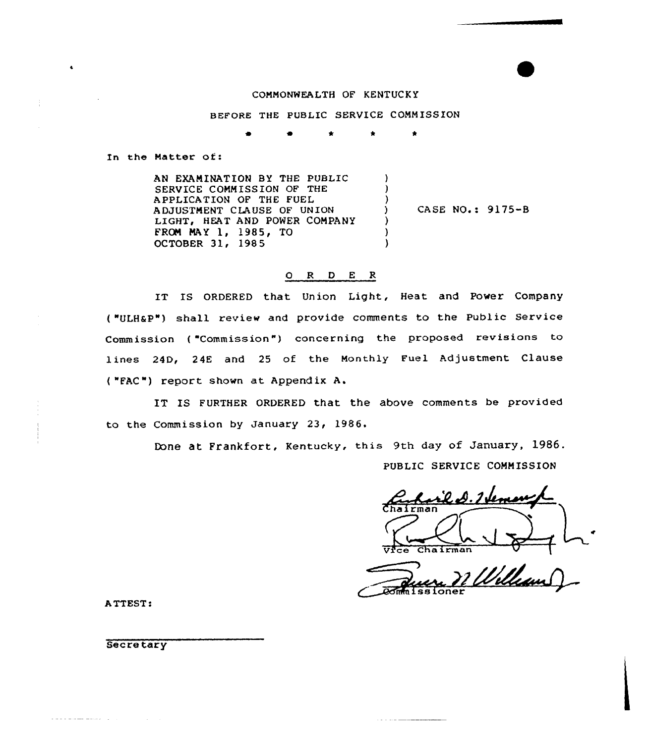## COMMONWEALTH OF KENTUCKY

BEFORE THE PUBLIC SERVICE COMMISSION

 $\bullet$ 

In the Natter of:

AN EXAMINATION BY THE PUBLIC SERVICE COMMISSION OF THE APPLICATION OF THE FUEL A DJUSTNENT CLAUSE OF UN ION LIGHT, HEAT AND POWER COMPANY FROM MAY 1, 1985, TO OCTOBER 31, 1985 ) ) ) ) CASE NO.: 9175-8 ) ) )

## O R D E R

IT IS ORDERED that Union Light, Heat and Power Company ( "ULHaP") shall review and provide comments to the Public Service Commission ("Commission") concerning the proposed revisions to lines 24D, 24E and 25 of the Monthly Fuel Adjustment Clause {"FAC") report shown at Appendix A.

IT IS FURTHER ORDERED that the above comments be provided to the Commission by January 23, 1986.

Done at Frankfort, Kentucky, this 9th day of January, 1986.

PUBLIC SERVICE COMMISSION

r'il D. I Veman  $ce$  Chairman

Quere Ville

<u>in the communication</u>

ATTEST:

**Secretary** 

الرازا ومنتقل عشاعا سالان